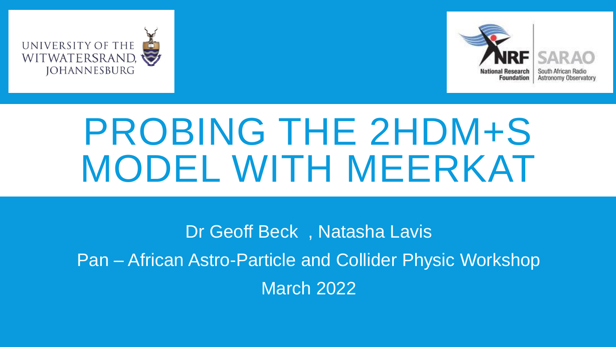





# PROBING THE 2HDM+S MODEL WITH MEERKAT

Dr Geoff Beck , Natasha Lavis Pan – African Astro-Particle and Collider Physic Workshop March 2022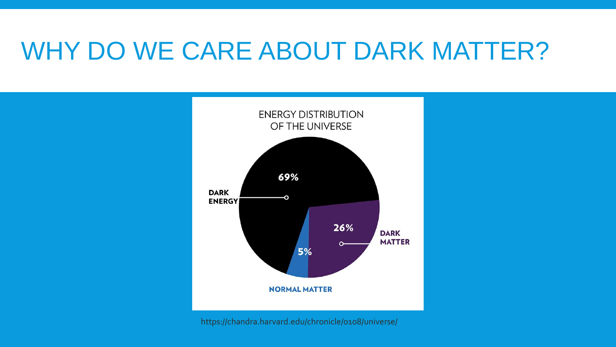### WHY DO WE CARE ABOUT DARK MATTER?



https://chandra.harvard.edu/chronicle/0108/universe/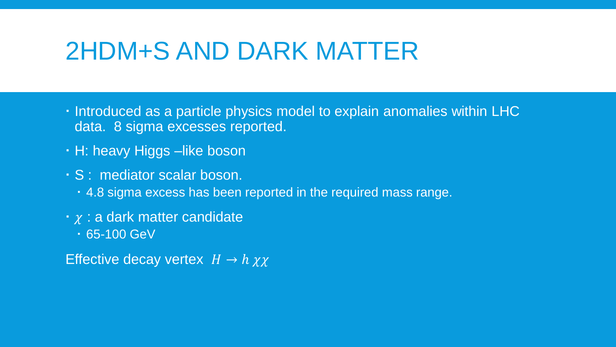#### 2HDM+S AND DARK MATTER

- $\cdot$  Introduced as a particle physics model to explain anomalies within LHC data. 8 sigma excesses reported.
- H: heavy Higgs –like boson
- S : mediator scalar boson.
	- 4.8 sigma excess has been reported in the required mass range.
- $\cdot$   $\chi$  : a dark matter candidate
	- 65-100 GeV

Effective decay vertex  $H \to h \chi \chi$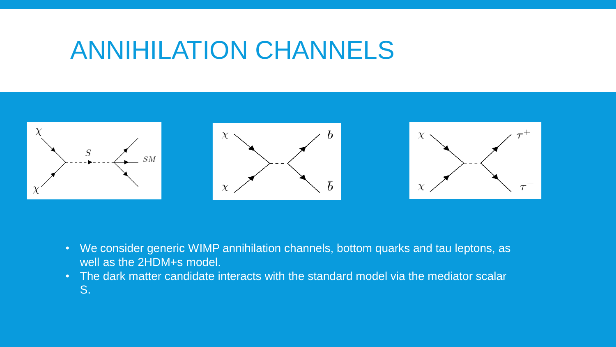#### ANNIHILATION CHANNELS



- We consider generic WIMP annihilation channels, bottom quarks and tau leptons, as well as the 2HDM+s model.
- The dark matter candidate interacts with the standard model via the mediator scalar S.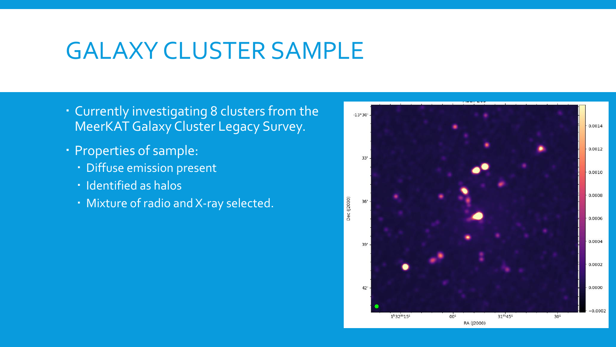#### GALAXY CLUSTER SAMPLE

- Currently investigating 8 clusters from the MeerKAT Galaxy Cluster Legacy Survey.
- Properties of sample:
	- Diffuse emission present
	- · Identified as halos
	- Mixture of radio and X-ray selected.

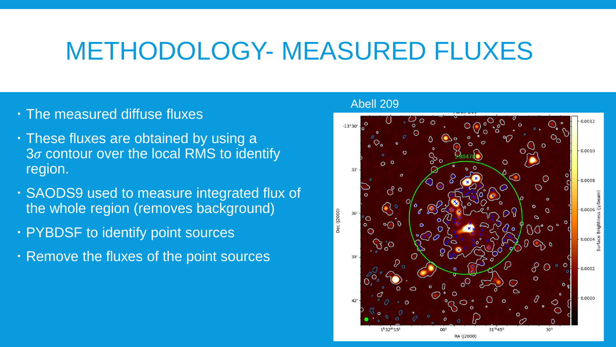#### METHODOLOGY- MEASURED FLUXES

- The measured diffuse fluxes
- These fluxes are obtained by using a  $3\sigma$  contour over the local RMS to identify region.
- SAODS9 used to measure integrated flux of the whole region (removes background)
- PYBDSF to identify point sources
- Remove the fluxes of the point sources

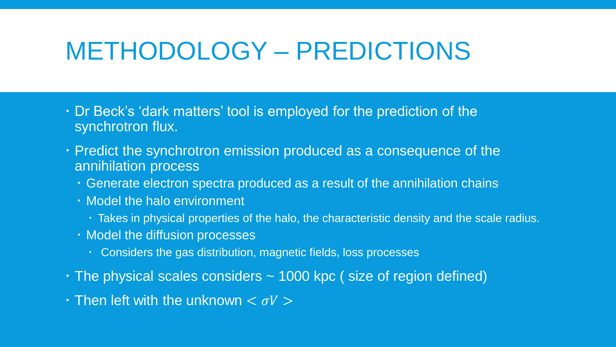#### METHODOLOGY – PREDICTIONS

- Dr Beck's 'dark matters' tool is employed for the prediction of the synchrotron flux.
- Predict the synchrotron emission produced as a consequence of the annihilation process
	- Generate electron spectra produced as a result of the annihilation chains
	- Model the halo environment
		- Takes in physical properties of the halo, the characteristic density and the scale radius.
	- Model the diffusion processes
		- Considers the gas distribution, magnetic fields, loss processes
- The physical scales considers ~ 1000 kpc ( size of region defined)
- $\cdot$  Then left with the unknown  $<\sigma V>$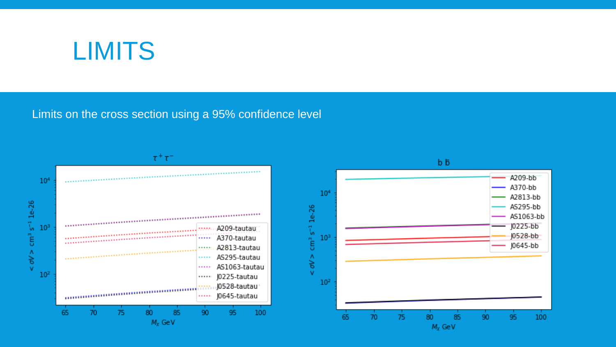

Limits on the cross section using a 95% confidence level



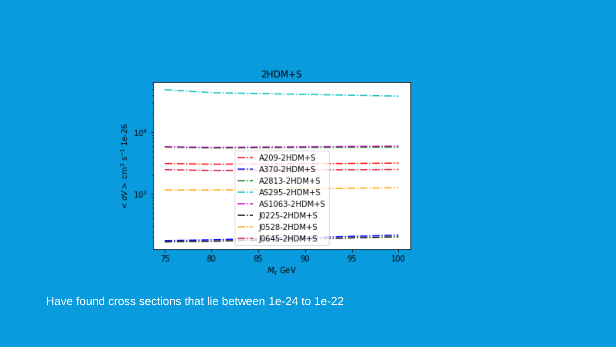

Have found cross sections that lie between 1e-24 to 1e-22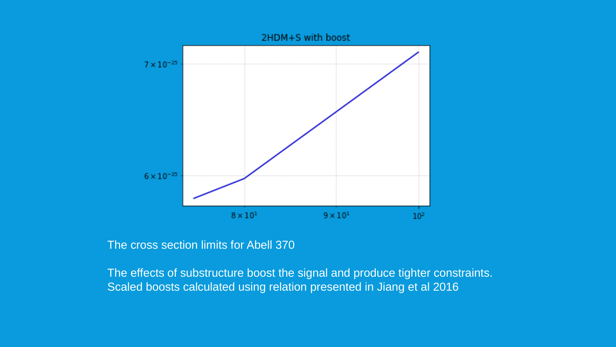

The cross section limits for Abell 370

The effects of substructure boost the signal and produce tighter constraints. Scaled boosts calculated using relation presented in Jiang et al 2016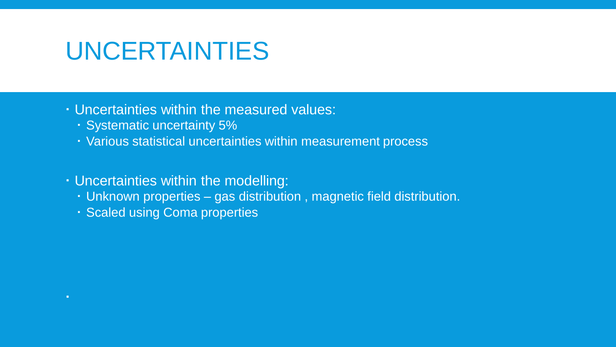#### UNCERTAINTIES

#### Uncertainties within the measured values:

- Systematic uncertainty 5%
- Various statistical uncertainties within measurement process
- Uncertainties within the modelling:
	- Unknown properties gas distribution , magnetic field distribution.
	- Scaled using Coma properties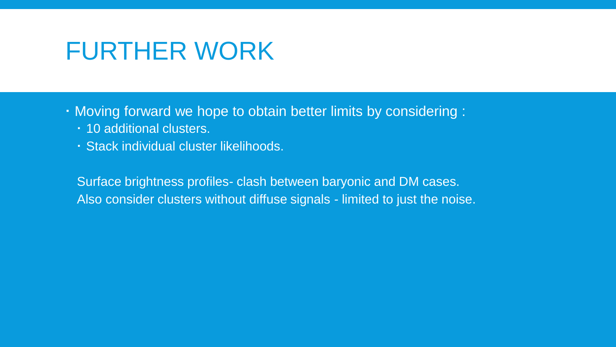#### FURTHER WORK

Moving forward we hope to obtain better limits by considering :

- 10 additional clusters.
- Stack individual cluster likelihoods.

Surface brightness profiles- clash between baryonic and DM cases. Also consider clusters without diffuse signals - limited to just the noise.